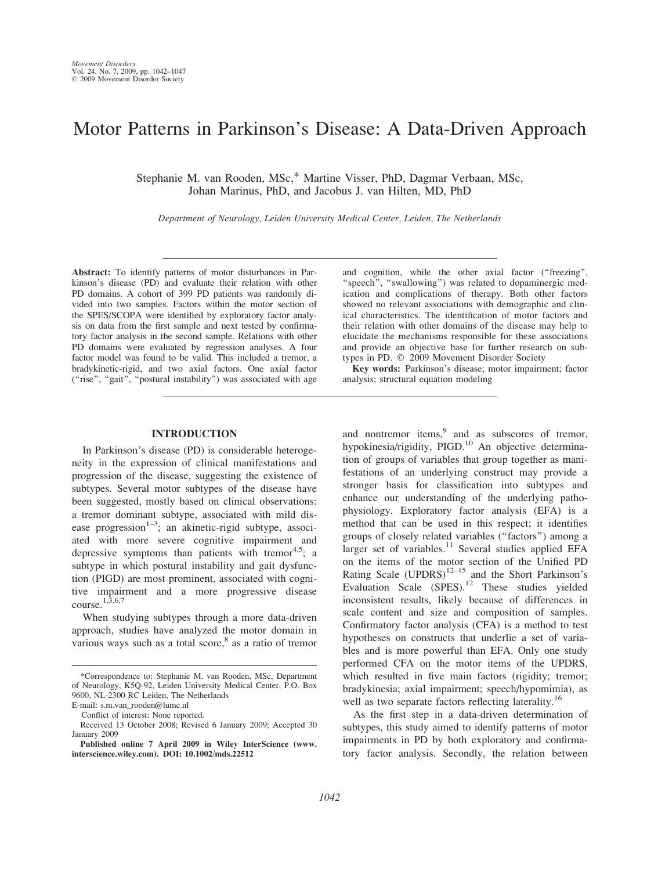# Motor Patterns in Parkinson's Disease: A Data-Driven Approach

Stephanie M. van Rooden, MSc,\* Martine Visser, PhD, Dagmar Verbaan, MSc, Johan Marinus, PhD, and Jacobus J. van Hilten, MD, PhD

Department of Neurology, Leiden University Medical Center, Leiden, The Netherlands

Abstract: To identify patterns of motor disturbances in Parkinson's disease (PD) and evaluate their relation with other PD domains. A cohort of 399 PD patients was randomly divided into two samples. Factors within the motor section of the SPES/SCOPA were identified by exploratory factor analysis on data from the first sample and next tested by confirmatory factor analysis in the second sample. Relations with other PD domains were evaluated by regression analyses. A four factor model was found to be valid. This included a tremor, a bradykinetic-rigid, and two axial factors. One axial factor ("rise", "gait", "postural instability") was associated with age

### INTRODUCTION

In Parkinson's disease (PD) is considerable heterogeneity in the expression of clinical manifestations and progression of the disease, suggesting the existence of subtypes. Several motor subtypes of the disease have been suggested, mostly based on clinical observations: a tremor dominant subtype, associated with mild disease progression<sup> $1-3$ </sup>; an akinetic-rigid subtype, associated with more severe cognitive impairment and depressive symptoms than patients with tremor<sup>4,5</sup>; a subtype in which postural instability and gait dysfunction (PIGD) are most prominent, associated with cognitive impairment and a more progressive disease course.<sup>1,3,6,7</sup>

When studying subtypes through a more data-driven approach, studies have analyzed the motor domain in various ways such as a total score, $8$  as a ratio of tremor and cognition, while the other axial factor ("freezing", "speech", "swallowing") was related to dopaminergic medication and complications of therapy. Both other factors showed no relevant associations with demographic and clinical characteristics. The identification of motor factors and their relation with other domains of the disease may help to elucidate the mechanisms responsible for these associations and provide an objective base for further research on subtypes in PD.  $\oslash$  2009 Movement Disorder Society

Key words: Parkinson's disease; motor impairment; factor analysis; structural equation modeling

and nontremor items,<sup>9</sup> and as subscores of tremor, hypokinesia/rigidity, PIGD.<sup>10</sup> An objective determination of groups of variables that group together as manifestations of an underlying construct may provide a stronger basis for classification into subtypes and enhance our understanding of the underlying pathophysiology. Exploratory factor analysis (EFA) is a method that can be used in this respect; it identifies groups of closely related variables (''factors'') among a larger set of variables. $11$  Several studies applied EFA on the items of the motor section of the Unified PD Rating Scale  $(UPDRS)^{12-15}$  and the Short Parkinson's Evaluation Scale (SPES).<sup>12</sup> These studies yielded inconsistent results, likely because of differences in scale content and size and composition of samples. Confirmatory factor analysis (CFA) is a method to test hypotheses on constructs that underlie a set of variables and is more powerful than EFA. Only one study performed CFA on the motor items of the UPDRS, which resulted in five main factors (rigidity; tremor; bradykinesia; axial impairment; speech/hypomimia), as well as two separate factors reflecting laterality.<sup>16</sup>

As the first step in a data-driven determination of subtypes, this study aimed to identify patterns of motor impairments in PD by both exploratory and confirmatory factor analysis. Secondly, the relation between

<sup>\*</sup>Correspondence to: Stephanie M. van Rooden, MSc, Department of Neurology, K5Q-92, Leiden University Medical Center, P.O. Box 9600, NL-2300 RC Leiden, The Netherlands

E-mail: s.m.van\_rooden@lumc.nl

Conflict of interest: None reported.

Received 13 October 2008; Revised 6 January 2009; Accepted 30 January 2009

Published online 7 April 2009 in Wiley InterScience (www. interscience.wiley.com). DOI: 10.1002/mds.22512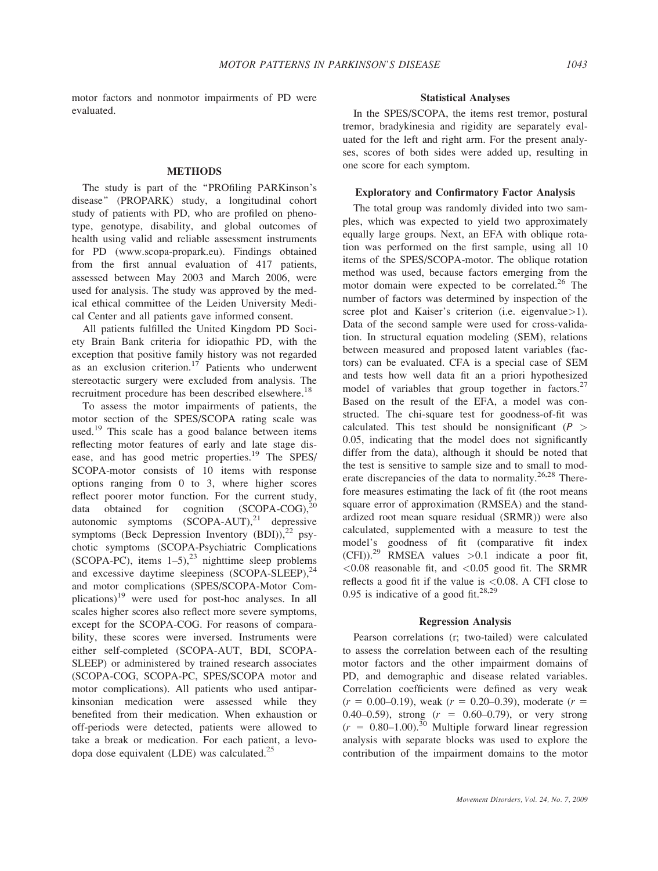motor factors and nonmotor impairments of PD were evaluated.

## METHODS

The study is part of the "PROfiling PARKinson's disease'' (PROPARK) study, a longitudinal cohort study of patients with PD, who are profiled on phenotype, genotype, disability, and global outcomes of health using valid and reliable assessment instruments for PD (www.scopa-propark.eu). Findings obtained from the first annual evaluation of 417 patients, assessed between May 2003 and March 2006, were used for analysis. The study was approved by the medical ethical committee of the Leiden University Medical Center and all patients gave informed consent.

All patients fulfilled the United Kingdom PD Society Brain Bank criteria for idiopathic PD, with the exception that positive family history was not regarded as an exclusion criterion.<sup>17</sup> Patients who underwent stereotactic surgery were excluded from analysis. The recruitment procedure has been described elsewhere.<sup>18</sup>

To assess the motor impairments of patients, the motor section of the SPES/SCOPA rating scale was used.<sup>19</sup> This scale has a good balance between items reflecting motor features of early and late stage disease, and has good metric properties.<sup>19</sup> The SPES/ SCOPA-motor consists of 10 items with response options ranging from 0 to 3, where higher scores reflect poorer motor function. For the current study, data obtained for cognition  $(SCOPA-COG)<sup>20</sup>$ autonomic symptoms  $(SCOPA-AUT)$ ,<sup>21</sup> depressive symptoms (Beck Depression Inventory  $(BDI)$ ),<sup>22</sup> psychotic symptoms (SCOPA-Psychiatric Complications (SCOPA-PC), items  $1-5$ ),  $23$  nighttime sleep problems and excessive daytime sleepiness  $(SCOPA-SLEEP)$ ,  $^{24}$ and motor complications (SPES/SCOPA-Motor Complications) $19$  were used for post-hoc analyses. In all scales higher scores also reflect more severe symptoms, except for the SCOPA-COG. For reasons of comparability, these scores were inversed. Instruments were either self-completed (SCOPA-AUT, BDI, SCOPA-SLEEP) or administered by trained research associates (SCOPA-COG, SCOPA-PC, SPES/SCOPA motor and motor complications). All patients who used antiparkinsonian medication were assessed while they benefited from their medication. When exhaustion or off-periods were detected, patients were allowed to take a break or medication. For each patient, a levodopa dose equivalent (LDE) was calculated.<sup>25</sup>

#### Statistical Analyses

In the SPES/SCOPA, the items rest tremor, postural tremor, bradykinesia and rigidity are separately evaluated for the left and right arm. For the present analyses, scores of both sides were added up, resulting in one score for each symptom.

## Exploratory and Confirmatory Factor Analysis

The total group was randomly divided into two samples, which was expected to yield two approximately equally large groups. Next, an EFA with oblique rotation was performed on the first sample, using all 10 items of the SPES/SCOPA-motor. The oblique rotation method was used, because factors emerging from the motor domain were expected to be correlated.<sup>26</sup> The number of factors was determined by inspection of the scree plot and Kaiser's criterion (i.e. eigenvalue > 1). Data of the second sample were used for cross-validation. In structural equation modeling (SEM), relations between measured and proposed latent variables (factors) can be evaluated. CFA is a special case of SEM and tests how well data fit an a priori hypothesized model of variables that group together in factors.<sup>27</sup> Based on the result of the EFA, a model was constructed. The chi-square test for goodness-of-fit was calculated. This test should be nonsignificant  $(P >$ 0.05, indicating that the model does not significantly differ from the data), although it should be noted that the test is sensitive to sample size and to small to moderate discrepancies of the data to normality.<sup>26,28</sup> Therefore measures estimating the lack of fit (the root means square error of approximation (RMSEA) and the standardized root mean square residual (SRMR)) were also calculated, supplemented with a measure to test the model's goodness of fit (comparative fit index  $(CFI)$ .<sup>29</sup> RMSEA values >0.1 indicate a poor fit,  $<$ 0.08 reasonable fit, and  $<$ 0.05 good fit. The SRMR reflects a good fit if the value is  $\langle 0.08, A \rangle$  CFI close to 0.95 is indicative of a good fit.<sup>28,29</sup>

#### Regression Analysis

Pearson correlations (r; two-tailed) were calculated to assess the correlation between each of the resulting motor factors and the other impairment domains of PD, and demographic and disease related variables. Correlation coefficients were defined as very weak  $(r = 0.00-0.19)$ , weak  $(r = 0.20-0.39)$ , moderate  $(r = 0.00-0.19)$ 0.40–0.59), strong  $(r = 0.60$ –0.79), or very strong  $(r = 0.80-1.00).$ <sup>30</sup> Multiple forward linear regression analysis with separate blocks was used to explore the contribution of the impairment domains to the motor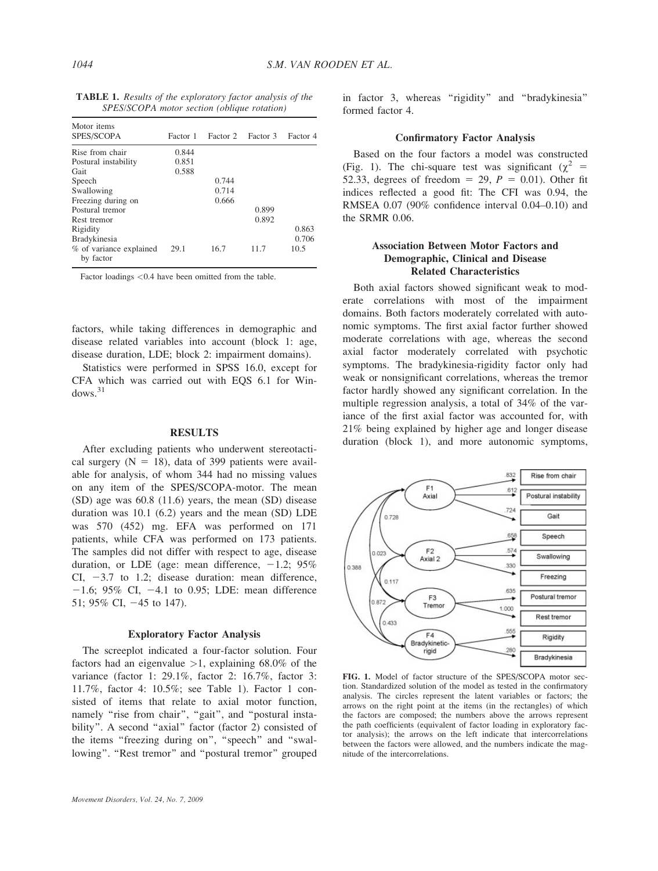| <b>TABLE 1.</b> Results of the exploratory factor analysis of the |  |
|-------------------------------------------------------------------|--|
| SPES/SCOPA motor section (oblique rotation)                       |  |

| Motor <i>items</i>      |          |          |          |          |
|-------------------------|----------|----------|----------|----------|
| SPES/SCOPA              | Factor 1 | Factor 2 | Factor 3 | Factor 4 |
| Rise from chair         | 0.844    |          |          |          |
| Postural instability    | 0.851    |          |          |          |
| Gait                    | 0.588    |          |          |          |
| Speech                  |          | 0.744    |          |          |
| Swallowing              |          | 0.714    |          |          |
| Freezing during on      |          | 0.666    |          |          |
| Postural tremor         |          |          | 0.899    |          |
| Rest tremor             |          |          | 0.892    |          |
| Rigidity                |          |          |          | 0.863    |
| Bradykinesia            |          |          |          | 0.706    |
| % of variance explained | 29.1     | 16.7     | 11.7     | 10.5     |
| by factor               |          |          |          |          |

Factor loadings <0.4 have been omitted from the table.

factors, while taking differences in demographic and disease related variables into account (block 1: age, disease duration, LDE; block 2: impairment domains).

Statistics were performed in SPSS 16.0, except for CFA which was carried out with EQS 6.1 for Win $dows.<sup>31</sup>$ 

## RESULTS

After excluding patients who underwent stereotactical surgery  $(N = 18)$ , data of 399 patients were available for analysis, of whom 344 had no missing values on any item of the SPES/SCOPA-motor. The mean (SD) age was 60.8 (11.6) years, the mean (SD) disease duration was 10.1 (6.2) years and the mean (SD) LDE was 570 (452) mg. EFA was performed on 171 patients, while CFA was performed on 173 patients. The samples did not differ with respect to age, disease duration, or LDE (age: mean difference,  $-1.2$ ; 95% CI,  $-3.7$  to 1.2; disease duration: mean difference,  $-1.6$ ; 95% CI,  $-4.1$  to 0.95; LDE: mean difference 51; 95% CI,  $-45$  to 147).

### Exploratory Factor Analysis

The screeplot indicated a four-factor solution. Four factors had an eigenvalue  $>1$ , explaining 68.0% of the variance (factor 1: 29.1%, factor 2: 16.7%, factor 3: 11.7%, factor 4: 10.5%; see Table 1). Factor 1 consisted of items that relate to axial motor function, namely "rise from chair", "gait", and "postural instability". A second "axial" factor (factor 2) consisted of the items "freezing during on", "speech" and "swallowing". "Rest tremor" and "postural tremor" grouped in factor 3, whereas "rigidity" and "bradykinesia" formed factor 4.

## Confirmatory Factor Analysis

Based on the four factors a model was constructed (Fig. 1). The chi-square test was significant ( $\chi^2$  = 52.33, degrees of freedom = 29,  $P = 0.01$ ). Other fit indices reflected a good fit: The CFI was 0.94, the RMSEA 0.07 (90% confidence interval 0.04–0.10) and the SRMR 0.06.

## Association Between Motor Factors and Demographic, Clinical and Disease Related Characteristics

Both axial factors showed significant weak to moderate correlations with most of the impairment domains. Both factors moderately correlated with autonomic symptoms. The first axial factor further showed moderate correlations with age, whereas the second axial factor moderately correlated with psychotic symptoms. The bradykinesia-rigidity factor only had weak or nonsignificant correlations, whereas the tremor factor hardly showed any significant correlation. In the multiple regression analysis, a total of 34% of the variance of the first axial factor was accounted for, with 21% being explained by higher age and longer disease duration (block 1), and more autonomic symptoms,



FIG. 1. Model of factor structure of the SPES/SCOPA motor section. Standardized solution of the model as tested in the confirmatory analysis. The circles represent the latent variables or factors; the arrows on the right point at the items (in the rectangles) of which the factors are composed; the numbers above the arrows represent the path coefficients (equivalent of factor loading in exploratory factor analysis); the arrows on the left indicate that intercorrelations between the factors were allowed, and the numbers indicate the magnitude of the intercorrelations.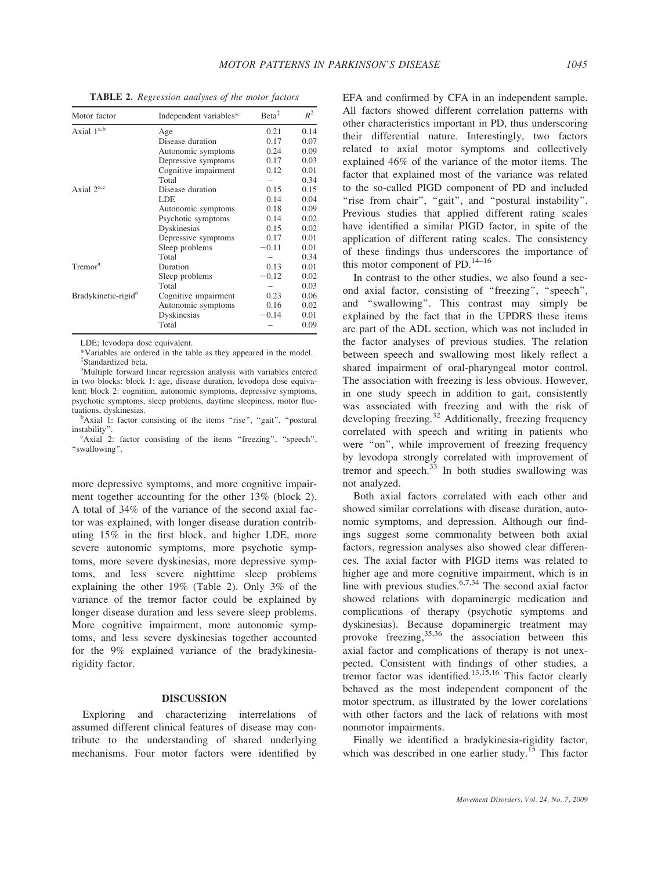| Motor factor                    | Independent variables* | $Beta^{\ddagger}$ | $R^2$ |
|---------------------------------|------------------------|-------------------|-------|
| Axial 1 <sup>a,b</sup>          | Age                    | 0.21              | 0.14  |
|                                 | Disease duration       | 0.17              | 0.07  |
|                                 | Autonomic symptoms     | 0.24              | 0.09  |
|                                 | Depressive symptoms    | 0.17              | 0.03  |
|                                 | Cognitive impairment   | 0.12              | 0.01  |
|                                 | Total                  |                   | 0.34  |
| Axial $2^{a,c}$                 | Disease duration       | 0.15              | 0.15  |
|                                 | LDE                    | 0.14              | 0.04  |
|                                 | Autonomic symptoms     | 0.18              | 0.09  |
|                                 | Psychotic symptoms     | 0.14              | 0.02  |
|                                 | Dyskinesias            | 0.15              | 0.02  |
|                                 | Depressive symptoms    | 0.17              | 0.01  |
|                                 | Sleep problems         | $-0.11$           | 0.01  |
|                                 | Total                  |                   | 0.34  |
| Tremor <sup>a</sup>             | Duration               | 0.13              | 0.01  |
|                                 | Sleep problems         | $-0.12$           | 0.02  |
|                                 | Total                  |                   | 0.03  |
| Bradykinetic-rigid <sup>a</sup> | Cognitive impairment   | 0.23              | 0.06  |
|                                 | Autonomic symptoms     | 0.16              | 0.02  |
|                                 | Dyskinesias            | $-0.14$           | 0.01  |
|                                 | Total                  |                   | 0.09  |

TABLE 2. Regression analyses of the motor factors

LDE; levodopa dose equivalent.

\*Variables are ordered in the table as they appeared in the model. { Standardized beta.

<sup>a</sup>Multiple forward linear regression analysis with variables entered in two blocks: block 1: age, disease duration, levodopa dose equivalent; block 2: cognition, autonomic symptoms, depressive symptoms, psychotic symptoms, sleep problems, daytime sleepiness, motor fluctuations, dyskinesias.

<sup>b</sup>Axial 1: factor consisting of the items "rise", "gait", "postural instability<sup>\*</sup>

<sup>c</sup>Axial 2: factor consisting of the items "freezing", "speech", ''swallowing''.

more depressive symptoms, and more cognitive impairment together accounting for the other 13% (block 2). A total of 34% of the variance of the second axial factor was explained, with longer disease duration contributing 15% in the first block, and higher LDE, more severe autonomic symptoms, more psychotic symptoms, more severe dyskinesias, more depressive symptoms, and less severe nighttime sleep problems explaining the other 19% (Table 2). Only 3% of the variance of the tremor factor could be explained by longer disease duration and less severe sleep problems. More cognitive impairment, more autonomic symptoms, and less severe dyskinesias together accounted for the 9% explained variance of the bradykinesiarigidity factor.

#### DISCUSSION

Exploring and characterizing interrelations of assumed different clinical features of disease may contribute to the understanding of shared underlying mechanisms. Four motor factors were identified by EFA and confirmed by CFA in an independent sample. All factors showed different correlation patterns with other characteristics important in PD, thus underscoring their differential nature. Interestingly, two factors related to axial motor symptoms and collectively explained 46% of the variance of the motor items. The factor that explained most of the variance was related to the so-called PIGD component of PD and included "rise from chair", "gait", and "postural instability". Previous studies that applied different rating scales have identified a similar PIGD factor, in spite of the application of different rating scales. The consistency of these findings thus underscores the importance of this motor component of PD. $^{14-16}$ 

In contrast to the other studies, we also found a second axial factor, consisting of ''freezing'', ''speech'', and ''swallowing''. This contrast may simply be explained by the fact that in the UPDRS these items are part of the ADL section, which was not included in the factor analyses of previous studies. The relation between speech and swallowing most likely reflect a shared impairment of oral-pharyngeal motor control. The association with freezing is less obvious. However, in one study speech in addition to gait, consistently was associated with freezing and with the risk of developing freezing.<sup>32</sup> Additionally, freezing frequency correlated with speech and writing in patients who were "on", while improvement of freezing frequency by levodopa strongly correlated with improvement of tremor and speech.<sup>33</sup> In both studies swallowing was not analyzed.

Both axial factors correlated with each other and showed similar correlations with disease duration, autonomic symptoms, and depression. Although our findings suggest some commonality between both axial factors, regression analyses also showed clear differences. The axial factor with PIGD items was related to higher age and more cognitive impairment, which is in line with previous studies. $6,7,34$  The second axial factor showed relations with dopaminergic medication and complications of therapy (psychotic symptoms and dyskinesias). Because dopaminergic treatment may provoke freezing,  $35,36$  the association between this axial factor and complications of therapy is not unexpected. Consistent with findings of other studies, a tremor factor was identified.<sup>13,15,16</sup> This factor clearly behaved as the most independent component of the motor spectrum, as illustrated by the lower corelations with other factors and the lack of relations with most nonmotor impairments.

Finally we identified a bradykinesia-rigidity factor, which was described in one earlier study.<sup>15</sup> This factor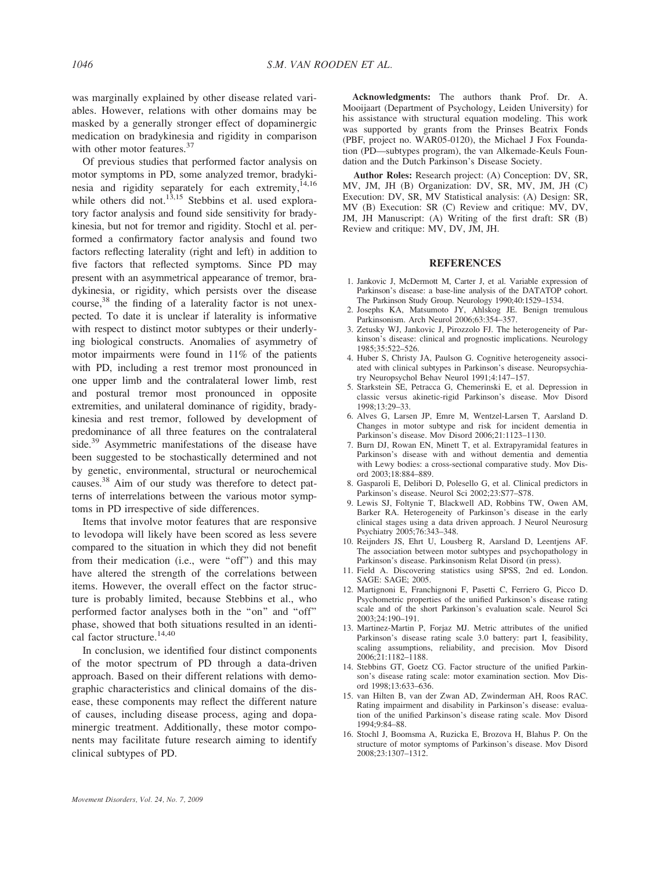was marginally explained by other disease related variables. However, relations with other domains may be masked by a generally stronger effect of dopaminergic medication on bradykinesia and rigidity in comparison with other motor features.<sup>37</sup>

Of previous studies that performed factor analysis on motor symptoms in PD, some analyzed tremor, bradykinesia and rigidity separately for each extremity,  $14,16$ while others did not.<sup>13,15</sup> Stebbins et al. used exploratory factor analysis and found side sensitivity for bradykinesia, but not for tremor and rigidity. Stochl et al. performed a confirmatory factor analysis and found two factors reflecting laterality (right and left) in addition to five factors that reflected symptoms. Since PD may present with an asymmetrical appearance of tremor, bradykinesia, or rigidity, which persists over the disease course,<sup>38</sup> the finding of a laterality factor is not unexpected. To date it is unclear if laterality is informative with respect to distinct motor subtypes or their underlying biological constructs. Anomalies of asymmetry of motor impairments were found in 11% of the patients with PD, including a rest tremor most pronounced in one upper limb and the contralateral lower limb, rest and postural tremor most pronounced in opposite extremities, and unilateral dominance of rigidity, bradykinesia and rest tremor, followed by development of predominance of all three features on the contralateral side.<sup>39</sup> Asymmetric manifestations of the disease have been suggested to be stochastically determined and not by genetic, environmental, structural or neurochemical causes.38 Aim of our study was therefore to detect patterns of interrelations between the various motor symptoms in PD irrespective of side differences.

Items that involve motor features that are responsive to levodopa will likely have been scored as less severe compared to the situation in which they did not benefit from their medication (i.e., were ''off'') and this may have altered the strength of the correlations between items. However, the overall effect on the factor structure is probably limited, because Stebbins et al., who performed factor analyses both in the ''on'' and ''off'' phase, showed that both situations resulted in an identical factor structure.<sup>14,40</sup>

In conclusion, we identified four distinct components of the motor spectrum of PD through a data-driven approach. Based on their different relations with demographic characteristics and clinical domains of the disease, these components may reflect the different nature of causes, including disease process, aging and dopaminergic treatment. Additionally, these motor components may facilitate future research aiming to identify clinical subtypes of PD.

Acknowledgments: The authors thank Prof. Dr. A. Mooijaart (Department of Psychology, Leiden University) for his assistance with structural equation modeling. This work was supported by grants from the Prinses Beatrix Fonds (PBF, project no. WAR05-0120), the Michael J Fox Foundation (PD—subtypes program), the van Alkemade-Keuls Foundation and the Dutch Parkinson's Disease Society.

Author Roles: Research project: (A) Conception: DV, SR, MV, JM, JH (B) Organization: DV, SR, MV, JM, JH (C) Execution: DV, SR, MV Statistical analysis: (A) Design: SR, MV (B) Execution: SR (C) Review and critique: MV, DV, JM, JH Manuscript: (A) Writing of the first draft: SR (B) Review and critique: MV, DV, JM, JH.

#### REFERENCES

- 1. Jankovic J, McDermott M, Carter J, et al. Variable expression of Parkinson's disease: a base-line analysis of the DATATOP cohort. The Parkinson Study Group. Neurology 1990;40:1529–1534.
- 2. Josephs KA, Matsumoto JY, Ahlskog JE. Benign tremulous Parkinsonism. Arch Neurol 2006;63:354–357.
- 3. Zetusky WJ, Jankovic J, Pirozzolo FJ. The heterogeneity of Parkinson's disease: clinical and prognostic implications. Neurology 1985;35:522–526.
- 4. Huber S, Christy JA, Paulson G. Cognitive heterogeneity associated with clinical subtypes in Parkinson's disease. Neuropsychiatry Neuropsychol Behav Neurol 1991;4:147–157.
- 5. Starkstein SE, Petracca G, Chemerinski E, et al. Depression in classic versus akinetic-rigid Parkinson's disease. Mov Disord 1998;13:29–33.
- 6. Alves G, Larsen JP, Emre M, Wentzel-Larsen T, Aarsland D. Changes in motor subtype and risk for incident dementia in Parkinson's disease. Mov Disord 2006;21:1123–1130.
- 7. Burn DJ, Rowan EN, Minett T, et al. Extrapyramidal features in Parkinson's disease with and without dementia and dementia with Lewy bodies: a cross-sectional comparative study. Mov Disord 2003;18:884–889.
- 8. Gasparoli E, Delibori D, Polesello G, et al. Clinical predictors in Parkinson's disease. Neurol Sci 2002;23:S77–S78.
- 9. Lewis SJ, Foltynie T, Blackwell AD, Robbins TW, Owen AM, Barker RA. Heterogeneity of Parkinson's disease in the early clinical stages using a data driven approach. J Neurol Neurosurg Psychiatry 2005;76:343–348.
- 10. Reijnders JS, Ehrt U, Lousberg R, Aarsland D, Leentjens AF. The association between motor subtypes and psychopathology in Parkinson's disease. Parkinsonism Relat Disord (in press).
- 11. Field A. Discovering statistics using SPSS, 2nd ed. London. SAGE: SAGE; 2005.
- 12. Martignoni E, Franchignoni F, Pasetti C, Ferriero G, Picco D. Psychometric properties of the unified Parkinson's disease rating scale and of the short Parkinson's evaluation scale. Neurol Sci 2003;24:190–191.
- 13. Martinez-Martin P, Forjaz MJ. Metric attributes of the unified Parkinson's disease rating scale 3.0 battery: part I, feasibility, scaling assumptions, reliability, and precision. Mov Disord 2006;21:1182–1188.
- 14. Stebbins GT, Goetz CG. Factor structure of the unified Parkinson's disease rating scale: motor examination section. Mov Disord 1998;13:633–636.
- 15. van Hilten B, van der Zwan AD, Zwinderman AH, Roos RAC. Rating impairment and disability in Parkinson's disease: evaluation of the unified Parkinson's disease rating scale. Mov Disord 1994;9:84–88.
- 16. Stochl J, Boomsma A, Ruzicka E, Brozova H, Blahus P. On the structure of motor symptoms of Parkinson's disease. Mov Disord 2008;23:1307–1312.